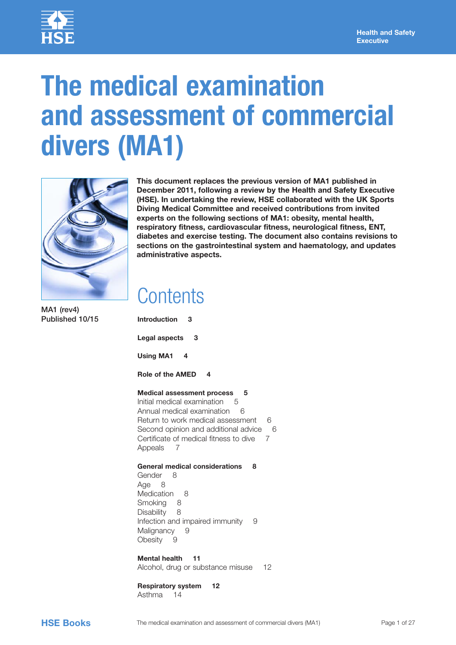

# **The medical examination and assessment of commercial divers (MA1)**



**This document replaces the previous version of MA1 published in December 2011, following a review by the Health and Safety Executive (HSE). In undertaking the review, HSE collaborated with the UK Sports Diving Medical Committee and received contributions from invited experts on the following sections of MA1: obesity, mental health, respiratory fitness, cardiovascular fitness, neurological fitness, ENT, diabetes and exercise testing. The document also contains revisions to sections on the gastrointestinal system and haematology, and updates administrative aspects.** 

### **Contents**

MA1 (rev4) Published 10/15

**[Introduction 3](#page-2-0) [Legal aspects 3](#page-2-0) [Using MA1 4](#page-3-0) [Role of the AMED 4](#page-3-0) [Medical assessment process 5](#page-4-0)** [Initial medical examination](#page-4-0)5 [Annual medical examination](#page-5-0)6 [Return to work medical assessment](#page-5-0)6 [Second opinion and additional advice](#page-5-0)6 [Certificate of medical fitness to dive](#page-6-0)7 [Appeals](#page-6-0)7 **[General medical considerations 8](#page-7-0)** [Gender](#page-7-0)8 [Age](#page-7-0)8 [Medication](#page-7-0)8 [Smoking](#page-7-0)8 [Disability](#page-7-0)8 [Infection and impaired immunity](#page-8-0)9 [Malignancy](#page-8-0)9 [Obesity](#page-8-0)9

**[Mental health 11](#page-10-0)** [Alcohol, drug or substance misuse](#page-11-0)12

**[Respiratory system 12](#page-11-0)** [Asthma](#page-13-0)14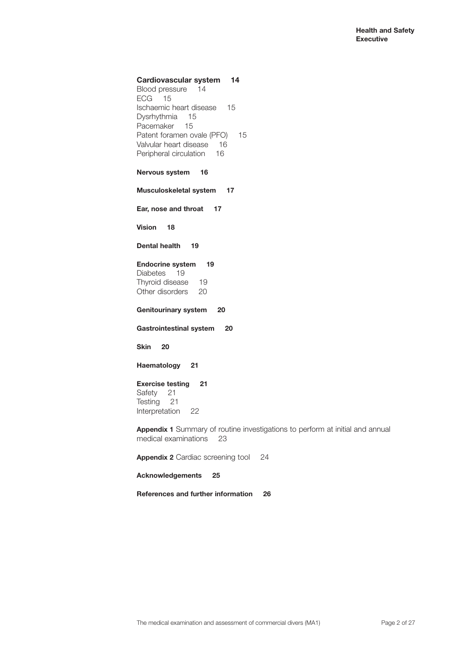#### **[Cardiovascular system 14](#page-13-0)**

[Blood pressure](#page-13-0)14 [ECG](#page-14-0)15 [Ischaemic heart disease](#page-14-0)15 [Dysrhythmia](#page-14-0)15 [Pacemaker](#page-14-0)15 [Patent foramen ovale \(PFO\)](#page-14-0)15 [Valvular heart disease](#page-15-0)16 [Peripheral circulation](#page-15-0)16

#### **[Nervous system 16](#page-15-0)**

**[Musculoskeletal system 17](#page-16-0)**

**[Ear, nose and throat 17](#page-16-0)**

**[Vision 18](#page-17-0)**

**[Dental health 19](#page-18-0)**

#### **[Endocrine system 19](#page-18-0)**

[Diabetes](#page-18-0)19 [Thyroid disease](#page-18-0)19 [Other disorders](#page-19-0)20

**[Genitourinary system 20](#page-19-0)**

**[Gastrointestinal system 20](#page-19-0)**

**[Skin 20](#page-19-0)**

**[Haematology 21](#page-20-0)**

#### **[Exercise testing 21](#page-20-0)**

[Safety](#page-20-0)21 [Testing](#page-20-0)21 [Interpretation](#page-21-0)22

**Appendix 1** [Summary of routine investigations to perform at initial and annual](#page-22-0)  [medical examinations](#page-22-0)23

**Appendix 2** [Cardiac screening tool](#page-23-0)24

**[Acknowledgements 25](#page-24-0)**

**[References and further information 26](#page-25-0)**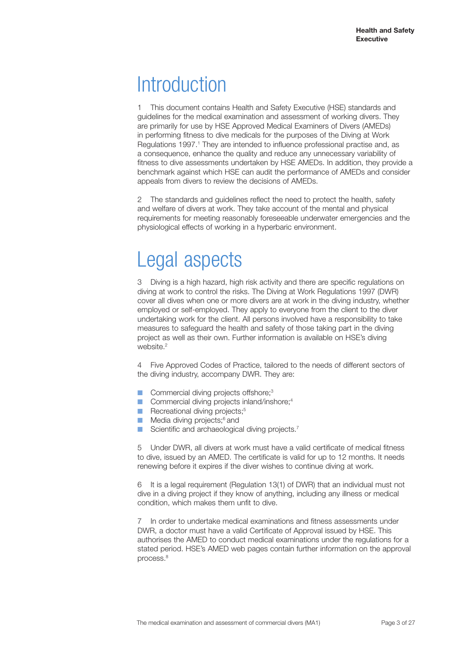### <span id="page-2-0"></span>**Introduction**

1 This document contains Health and Safety Executive (HSE) standards and guidelines for the medical examination and assessment of working divers. They are primarily for use by HSE Approved Medical Examiners of Divers (AMEDs) in performing fitness to dive medicals for the purposes of the Diving at Work Regulations 1997.<sup>1</sup> They are intended to influence professional practise and, as a consequence, enhance the quality and reduce any unnecessary variability of fitness to dive assessments undertaken by HSE AMEDs. In addition, they provide a benchmark against which HSE can audit the performance of AMEDs and consider appeals from divers to review the decisions of AMEDs.

2 The standards and guidelines reflect the need to protect the health, safety and welfare of divers at work. They take account of the mental and physical requirements for meeting reasonably foreseeable underwater emergencies and the physiological effects of working in a hyperbaric environment.

### Legal aspects

3 Diving is a high hazard, high risk activity and there are specific regulations on diving at work to control the risks. The Diving at Work Regulations 1997 (DWR) cover all dives when one or more divers are at work in the diving industry, whether employed or self-employed. They apply to everyone from the client to the diver undertaking work for the client. All persons involved have a responsibility to take measures to safeguard the health and safety of those taking part in the diving project as well as their own. Further information is available on HSE's diving website.<sup>2</sup>

4 Five Approved Codes of Practice, tailored to the needs of different sectors of the diving industry, accompany DWR. They are:

- Commercial diving projects offshore:<sup>3</sup>
- Commercial diving projects inland/inshore;<sup>4</sup>
- Recreational diving projects;<sup>5</sup>
- Media diving projects;<sup>6</sup> and
- Scientific and archaeological diving projects.<sup>7</sup>

5 Under DWR, all divers at work must have a valid certificate of medical fitness to dive, issued by an AMED. The certificate is valid for up to 12 months. It needs renewing before it expires if the diver wishes to continue diving at work.

6 It is a legal requirement (Regulation 13(1) of DWR) that an individual must not dive in a diving project if they know of anything, including any illness or medical condition, which makes them unfit to dive.

7 In order to undertake medical examinations and fitness assessments under DWR, a doctor must have a valid Certificate of Approval issued by HSE. This authorises the AMED to conduct medical examinations under the regulations for a stated period. HSE's AMED web pages contain further information on the approval process.<sup>8</sup>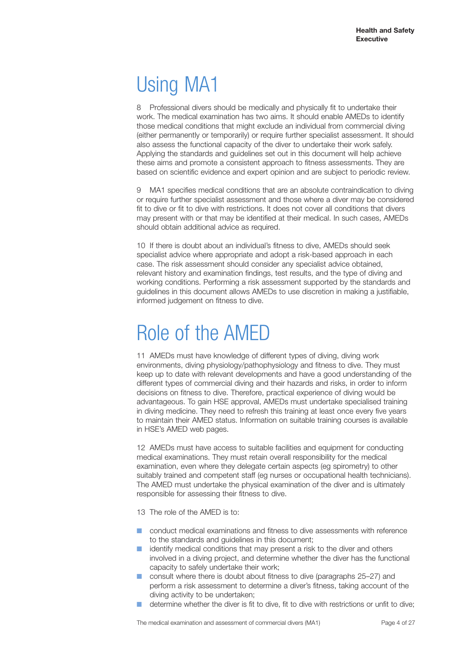# <span id="page-3-0"></span>Using MA1

8 Professional divers should be medically and physically fit to undertake their work. The medical examination has two aims. It should enable AMEDs to identify those medical conditions that might exclude an individual from commercial diving (either permanently or temporarily) or require further specialist assessment. It should also assess the functional capacity of the diver to undertake their work safely. Applying the standards and guidelines set out in this document will help achieve these aims and promote a consistent approach to fitness assessments. They are based on scientific evidence and expert opinion and are subject to periodic review.

9 MA1 specifies medical conditions that are an absolute contraindication to diving or require further specialist assessment and those where a diver may be considered fit to dive or fit to dive with restrictions. It does not cover all conditions that divers may present with or that may be identified at their medical. In such cases, AMEDs should obtain additional advice as required.

10 If there is doubt about an individual's fitness to dive, AMEDs should seek specialist advice where appropriate and adopt a risk-based approach in each case. The risk assessment should consider any specialist advice obtained, relevant history and examination findings, test results, and the type of diving and working conditions. Performing a risk assessment supported by the standards and guidelines in this document allows AMEDs to use discretion in making a justifiable, informed judgement on fitness to dive.

### Role of the AMED

11 AMEDs must have knowledge of different types of diving, diving work environments, diving physiology/pathophysiology and fitness to dive. They must keep up to date with relevant developments and have a good understanding of the different types of commercial diving and their hazards and risks, in order to inform decisions on fitness to dive. Therefore, practical experience of diving would be advantageous. To gain HSE approval, AMEDs must undertake specialised training in diving medicine. They need to refresh this training at least once every five years to maintain their AMED status. Information on suitable training courses is available in HSE's AMED web pages.

12 AMEDs must have access to suitable facilities and equipment for conducting medical examinations. They must retain overall responsibility for the medical examination, even where they delegate certain aspects (eg spirometry) to other suitably trained and competent staff (eg nurses or occupational health technicians). The AMED must undertake the physical examination of the diver and is ultimately responsible for assessing their fitness to dive.

13 The role of the AMED is to:

- conduct medical examinations and fitness to dive assessments with reference to the standards and guidelines in this document;
- identify medical conditions that may present a risk to the diver and others involved in a diving project, and determine whether the diver has the functional capacity to safely undertake their work;
- consult where there is doubt about fitness to dive (paragraphs 25–27) and perform a risk assessment to determine a diver's fitness, taking account of the diving activity to be undertaken;
- determine whether the diver is fit to dive, fit to dive with restrictions or unfit to dive: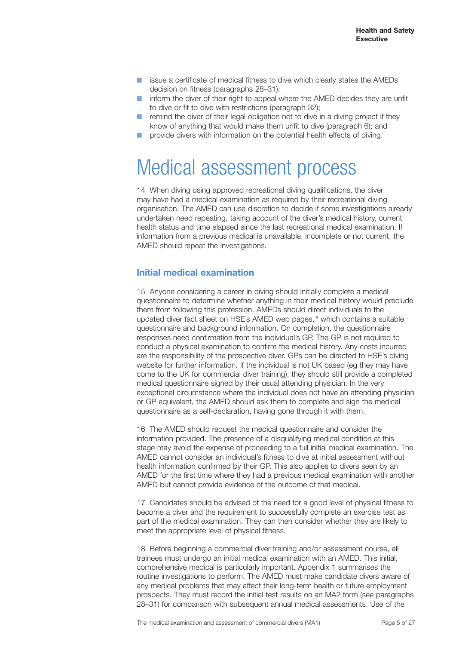- <span id="page-4-0"></span>issue a certificate of medical fitness to dive which clearly states the AMEDs decision on fitness (paragraphs 28–31);
- inform the diver of their right to appeal where the AMED decides they are unfit to dive or fit to dive with restrictions (paragraph 32);
- remind the diver of their legal obligation not to dive in a diving project if they know of anything that would make them unfit to dive (paragraph 6); and
- provide divers with information on the potential health effects of diving.

### Medical assessment process

14 When diving using approved recreational diving qualifications, the diver may have had a medical examination as required by their recreational diving organisation. The AMED can use discretion to decide if some investigations already undertaken need repeating, taking account of the diver's medical history, current health status and time elapsed since the last recreational medical examination. If information from a previous medical is unavailable, incomplete or not current, the AMED should repeat the investigations.

#### **Initial medical examination**

15 Anyone considering a career in diving should initially complete a medical questionnaire to determine whether anything in their medical history would preclude them from following this profession. AMEDs should direct individuals to the updated diver fact sheet on HSE's AMED web pages, <sup>8</sup> which contains a suitable questionnaire and background information. On completion, the questionnaire responses need confirmation from the individual's GP. The GP is not required to conduct a physical examination to confirm the medical history. Any costs incurred are the responsibility of the prospective diver. GPs can be directed to HSE's diving website for further information. If the individual is not UK based (eg they may have come to the UK for commercial diver training), they should still provide a completed medical questionnaire signed by their usual attending physician. In the very exceptional circumstance where the individual does not have an attending physician or GP equivalent, the AMED should ask them to complete and sign the medical questionnaire as a self-declaration, having gone through it with them.

16 The AMED should request the medical questionnaire and consider the information provided. The presence of a disqualifying medical condition at this stage may avoid the expense of proceeding to a full initial medical examination. The AMED cannot consider an individual's fitness to dive at initial assessment without health information confirmed by their GP. This also applies to divers seen by an AMED for the first time where they had a previous medical examination with another AMED but cannot provide evidence of the outcome of that medical.

17 Candidates should be advised of the need for a good level of physical fitness to become a diver and the requirement to successfully complete an exercise test as part of the medical examination. They can then consider whether they are likely to meet the appropriate level of physical fitness.

18 Before beginning a commercial diver training and/or assessment course, all trainees must undergo an initial medical examination with an AMED. This initial, comprehensive medical is particularly important. Appendix 1 summarises the routine investigations to perform. The AMED must make candidate divers aware of any medical problems that may affect their long-term health or future employment prospects. They must record the initial test results on an MA2 form (see paragraphs 28–31) for comparison with subsequent annual medical assessments. Use of the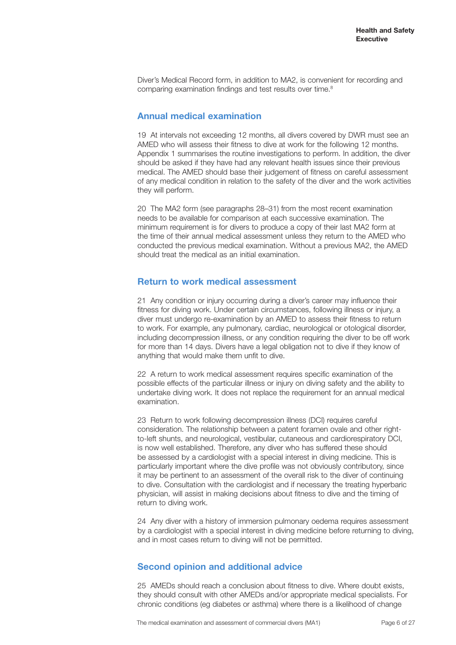<span id="page-5-0"></span>Diver's Medical Record form, in addition to MA2, is convenient for recording and comparing examination findings and test results over time.<sup>8</sup>

#### **Annual medical examination**

19 At intervals not exceeding 12 months, all divers covered by DWR must see an AMED who will assess their fitness to dive at work for the following 12 months. Appendix 1 summarises the routine investigations to perform. In addition, the diver should be asked if they have had any relevant health issues since their previous medical. The AMED should base their judgement of fitness on careful assessment of any medical condition in relation to the safety of the diver and the work activities they will perform.

20 The MA2 form (see paragraphs 28–31) from the most recent examination needs to be available for comparison at each successive examination. The minimum requirement is for divers to produce a copy of their last MA2 form at the time of their annual medical assessment unless they return to the AMED who conducted the previous medical examination. Without a previous MA2, the AMED should treat the medical as an initial examination.

#### **Return to work medical assessment**

21 Any condition or injury occurring during a diver's career may influence their fitness for diving work. Under certain circumstances, following illness or injury, a diver must undergo re-examination by an AMED to assess their fitness to return to work. For example, any pulmonary, cardiac, neurological or otological disorder, including decompression illness, or any condition requiring the diver to be off work for more than 14 days. Divers have a legal obligation not to dive if they know of anything that would make them unfit to dive.

22 A return to work medical assessment requires specific examination of the possible effects of the particular illness or injury on diving safety and the ability to undertake diving work. It does not replace the requirement for an annual medical examination.

23 Return to work following decompression illness (DCI) requires careful consideration. The relationship between a patent foramen ovale and other rightto-left shunts, and neurological, vestibular, cutaneous and cardiorespiratory DCI, is now well established. Therefore, any diver who has suffered these should be assessed by a cardiologist with a special interest in diving medicine. This is particularly important where the dive profile was not obviously contributory, since it may be pertinent to an assessment of the overall risk to the diver of continuing to dive. Consultation with the cardiologist and if necessary the treating hyperbaric physician, will assist in making decisions about fitness to dive and the timing of return to diving work.

24 Any diver with a history of immersion pulmonary oedema requires assessment by a cardiologist with a special interest in diving medicine before returning to diving, and in most cases return to diving will not be permitted.

#### **Second opinion and additional advice**

25 AMEDs should reach a conclusion about fitness to dive. Where doubt exists, they should consult with other AMEDs and/or appropriate medical specialists. For chronic conditions (eg diabetes or asthma) where there is a likelihood of change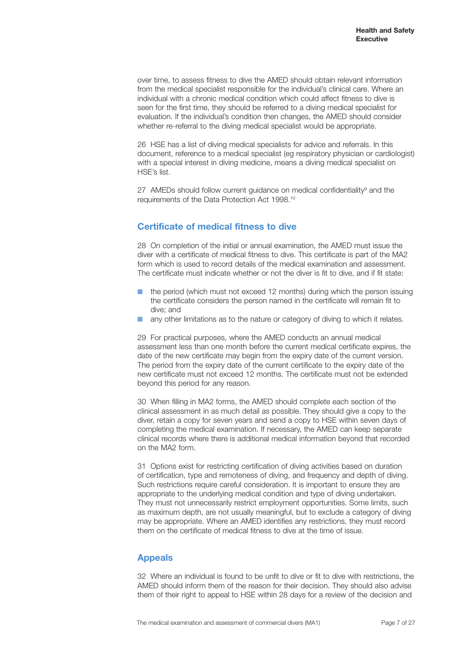<span id="page-6-0"></span>over time, to assess fitness to dive the AMED should obtain relevant information from the medical specialist responsible for the individual's clinical care. Where an individual with a chronic medical condition which could affect fitness to dive is seen for the first time, they should be referred to a diving medical specialist for evaluation. If the individual's condition then changes, the AMED should consider whether re-referral to the diving medical specialist would be appropriate.

26 HSE has a list of diving medical specialists for advice and referrals. In this document, reference to a medical specialist (eg respiratory physician or cardiologist) with a special interest in diving medicine, means a diving medical specialist on HSE's list.

27 AMEDs should follow current guidance on medical confidentiality<sup>9</sup> and the requirements of the Data Protection Act 1998.10

#### **Certificate of medical fitness to dive**

28 On completion of the initial or annual examination, the AMED must issue the diver with a certificate of medical fitness to dive. This certificate is part of the MA2 form which is used to record details of the medical examination and assessment. The certificate must indicate whether or not the diver is fit to dive, and if fit state:

- the period (which must not exceed 12 months) during which the person issuing the certificate considers the person named in the certificate will remain fit to dive; and
- any other limitations as to the nature or category of diving to which it relates.

29 For practical purposes, where the AMED conducts an annual medical assessment less than one month before the current medical certificate expires, the date of the new certificate may begin from the expiry date of the current version. The period from the expiry date of the current certificate to the expiry date of the new certificate must not exceed 12 months. The certificate must not be extended beyond this period for any reason.

30 When filling in MA2 forms, the AMED should complete each section of the clinical assessment in as much detail as possible. They should give a copy to the diver, retain a copy for seven years and send a copy to HSE within seven days of completing the medical examination. If necessary, the AMED can keep separate clinical records where there is additional medical information beyond that recorded on the MA2 form.

31 Options exist for restricting certification of diving activities based on duration of certification, type and remoteness of diving, and frequency and depth of diving. Such restrictions require careful consideration. It is important to ensure they are appropriate to the underlying medical condition and type of diving undertaken. They must not unnecessarily restrict employment opportunities. Some limits, such as maximum depth, are not usually meaningful, but to exclude a category of diving may be appropriate. Where an AMED identifies any restrictions, they must record them on the certificate of medical fitness to dive at the time of issue.

#### **Appeals**

32 Where an individual is found to be unfit to dive or fit to dive with restrictions, the AMED should inform them of the reason for their decision. They should also advise them of their right to appeal to HSE within 28 days for a review of the decision and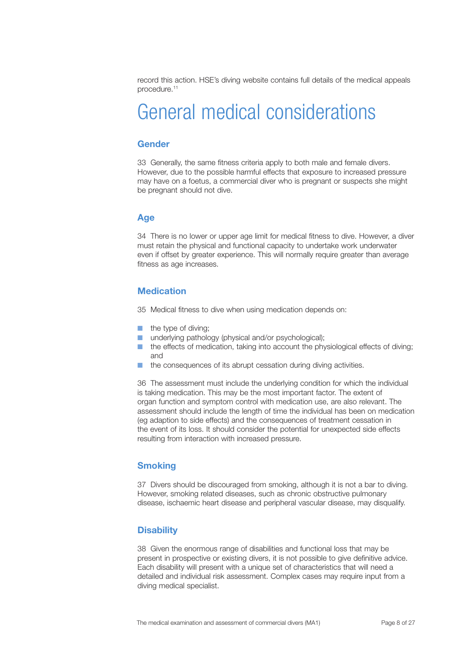<span id="page-7-0"></span>record this action. HSE's diving website contains full details of the medical appeals procedure.11

### General medical considerations

#### **Gender**

33 Generally, the same fitness criteria apply to both male and female divers. However, due to the possible harmful effects that exposure to increased pressure may have on a foetus, a commercial diver who is pregnant or suspects she might be pregnant should not dive.

#### **Age**

34 There is no lower or upper age limit for medical fitness to dive. However, a diver must retain the physical and functional capacity to undertake work underwater even if offset by greater experience. This will normally require greater than average fitness as age increases.

#### **Medication**

35 Medical fitness to dive when using medication depends on:

- the type of diving;
- underlying pathology (physical and/or psychological);
- the effects of medication, taking into account the physiological effects of diving; and
- the consequences of its abrupt cessation during diving activities.

36 The assessment must include the underlying condition for which the individual is taking medication. This may be the most important factor. The extent of organ function and symptom control with medication use, are also relevant. The assessment should include the length of time the individual has been on medication (eg adaption to side effects) and the consequences of treatment cessation in the event of its loss. It should consider the potential for unexpected side effects resulting from interaction with increased pressure.

#### **Smoking**

37 Divers should be discouraged from smoking, although it is not a bar to diving. However, smoking related diseases, such as chronic obstructive pulmonary disease, ischaemic heart disease and peripheral vascular disease, may disqualify.

#### **Disability**

38 Given the enormous range of disabilities and functional loss that may be present in prospective or existing divers, it is not possible to give definitive advice. Each disability will present with a unique set of characteristics that will need a detailed and individual risk assessment. Complex cases may require input from a diving medical specialist.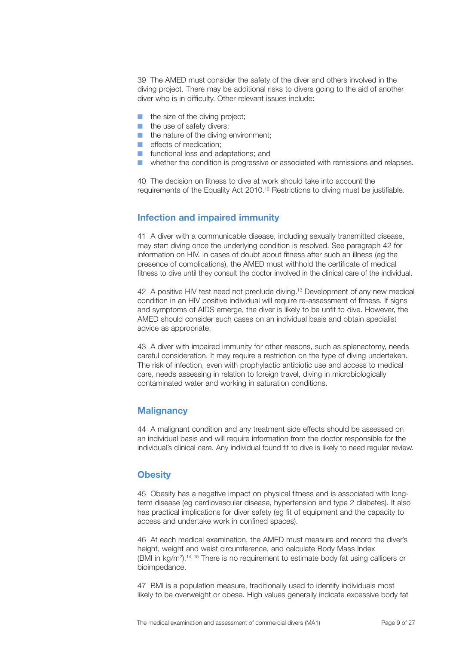<span id="page-8-0"></span>39 The AMED must consider the safety of the diver and others involved in the diving project. There may be additional risks to divers going to the aid of another diver who is in difficulty. Other relevant issues include:

- the size of the diving project;
- the use of safety divers;
- the nature of the diving environment;
- effects of medication:
- functional loss and adaptations; and
- whether the condition is progressive or associated with remissions and relapses.

40 The decision on fitness to dive at work should take into account the requirements of the Equality Act 2010.<sup>12</sup> Restrictions to diving must be justifiable.

#### **Infection and impaired immunity**

41 A diver with a communicable disease, including sexually transmitted disease, may start diving once the underlying condition is resolved. See paragraph 42 for information on HIV. In cases of doubt about fitness after such an illness (eg the presence of complications), the AMED must withhold the certificate of medical fitness to dive until they consult the doctor involved in the clinical care of the individual.

42 A positive HIV test need not preclude diving.13 Development of any new medical condition in an HIV positive individual will require re-assessment of fitness. If signs and symptoms of AIDS emerge, the diver is likely to be unfit to dive. However, the AMED should consider such cases on an individual basis and obtain specialist advice as appropriate.

43 A diver with impaired immunity for other reasons, such as splenectomy, needs careful consideration. It may require a restriction on the type of diving undertaken. The risk of infection, even with prophylactic antibiotic use and access to medical care, needs assessing in relation to foreign travel, diving in microbiologically contaminated water and working in saturation conditions.

#### **Malignancy**

44 A malignant condition and any treatment side effects should be assessed on an individual basis and will require information from the doctor responsible for the individual's clinical care. Any individual found fit to dive is likely to need regular review.

#### **Obesity**

45 Obesity has a negative impact on physical fitness and is associated with longterm disease (eg cardiovascular disease, hypertension and type 2 diabetes). It also has practical implications for diver safety (eg fit of equipment and the capacity to access and undertake work in confined spaces).

46 At each medical examination, the AMED must measure and record the diver's height, weight and waist circumference, and calculate Body Mass Index (BMI in  $kg/m^2$ ).<sup>14, 15</sup> There is no requirement to estimate body fat using callipers or bioimpedance.

47 BMI is a population measure, traditionally used to identify individuals most likely to be overweight or obese. High values generally indicate excessive body fat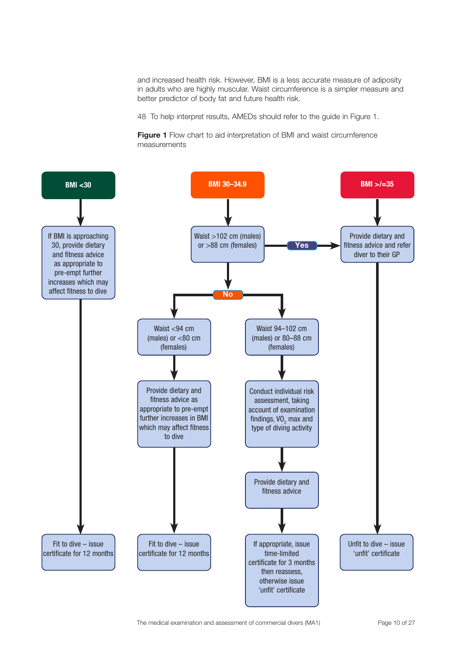and increased health risk. However, BMI is a less accurate measure of adiposity in adults who are highly muscular. Waist circumference is a simpler measure and better predictor of body fat and future health risk.

48 To help interpret results, AMEDs should refer to the guide in Figure 1.

**Figure 1** Flow chart to aid interpretation of BMI and waist circumference measurements

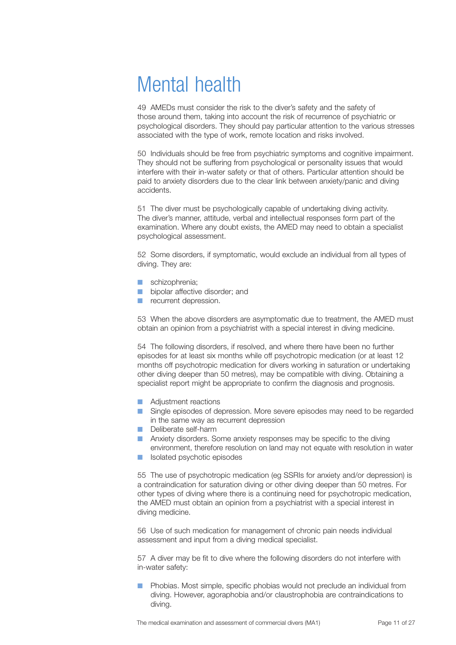### <span id="page-10-0"></span>Mental health

49 AMEDs must consider the risk to the diver's safety and the safety of those around them, taking into account the risk of recurrence of psychiatric or psychological disorders. They should pay particular attention to the various stresses associated with the type of work, remote location and risks involved.

50 Individuals should be free from psychiatric symptoms and cognitive impairment. They should not be suffering from psychological or personality issues that would interfere with their in-water safety or that of others. Particular attention should be paid to anxiety disorders due to the clear link between anxiety/panic and diving accidents.

51 The diver must be psychologically capable of undertaking diving activity. The diver's manner, attitude, verbal and intellectual responses form part of the examination. Where any doubt exists, the AMED may need to obtain a specialist psychological assessment.

52 Some disorders, if symptomatic, would exclude an individual from all types of diving. They are:

- schizophrenia;
- bipolar affective disorder; and
- **■** recurrent depression.

53 When the above disorders are asymptomatic due to treatment, the AMED must obtain an opinion from a psychiatrist with a special interest in diving medicine.

54 The following disorders, if resolved, and where there have been no further episodes for at least six months while off psychotropic medication (or at least 12 months off psychotropic medication for divers working in saturation or undertaking other diving deeper than 50 metres), may be compatible with diving. Obtaining a specialist report might be appropriate to confirm the diagnosis and prognosis.

- Adjustment reactions
- Single episodes of depression. More severe episodes may need to be regarded in the same way as recurrent depression
- Deliberate self-harm
- Anxiety disorders. Some anxiety responses may be specific to the diving environment, therefore resolution on land may not equate with resolution in water
- Isolated psychotic episodes

55 The use of psychotropic medication (eg SSRIs for anxiety and/or depression) is a contraindication for saturation diving or other diving deeper than 50 metres. For other types of diving where there is a continuing need for psychotropic medication, the AMED must obtain an opinion from a psychiatrist with a special interest in diving medicine.

56 Use of such medication for management of chronic pain needs individual assessment and input from a diving medical specialist.

57 A diver may be fit to dive where the following disorders do not interfere with in-water safety:

■ Phobias. Most simple, specific phobias would not preclude an individual from diving. However, agoraphobia and/or claustrophobia are contraindications to diving.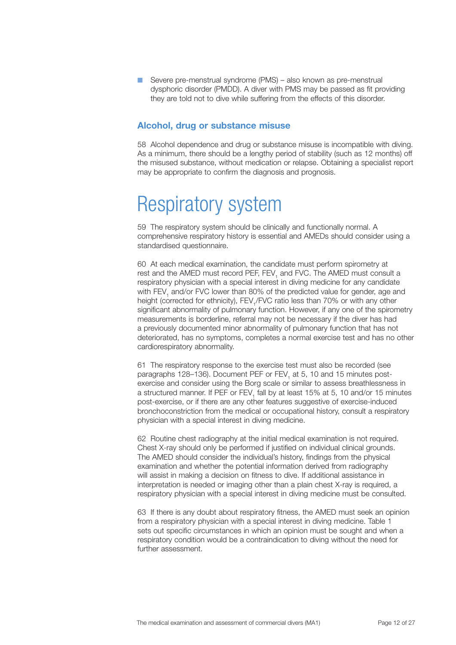<span id="page-11-0"></span>■ Severe pre-menstrual syndrome (PMS) – also known as pre-menstrual dysphoric disorder (PMDD). A diver with PMS may be passed as fit providing they are told not to dive while suffering from the effects of this disorder.

#### **Alcohol, drug or substance misuse**

58 Alcohol dependence and drug or substance misuse is incompatible with diving. As a minimum, there should be a lengthy period of stability (such as 12 months) off the misused substance, without medication or relapse. Obtaining a specialist report may be appropriate to confirm the diagnosis and prognosis.

### Respiratory system

59 The respiratory system should be clinically and functionally normal. A comprehensive respiratory history is essential and AMEDs should consider using a standardised questionnaire.

60 At each medical examination, the candidate must perform spirometry at rest and the AMED must record PEF, FEV<sub>1</sub> and FVC. The AMED must consult a respiratory physician with a special interest in diving medicine for any candidate with FEV<sub>1</sub> and/or FVC lower than 80% of the predicted value for gender, age and height (corrected for ethnicity), FEV<sub>1</sub>/FVC ratio less than 70% or with any other significant abnormality of pulmonary function. However, if any one of the spirometry measurements is borderline, referral may not be necessary if the diver has had a previously documented minor abnormality of pulmonary function that has not deteriorated, has no symptoms, completes a normal exercise test and has no other cardiorespiratory abnormality.

61 The respiratory response to the exercise test must also be recorded (see paragraphs 128–136). Document PEF or FEV<sub>1</sub> at 5, 10 and 15 minutes postexercise and consider using the Borg scale or similar to assess breathlessness in a structured manner. If PEF or FEV<sub>1</sub> fall by at least 15% at 5, 10 and/or 15 minutes post-exercise, or if there are any other features suggestive of exercise-induced bronchoconstriction from the medical or occupational history, consult a respiratory physician with a special interest in diving medicine.

62 Routine chest radiography at the initial medical examination is not required. Chest X-ray should only be performed if justified on individual clinical grounds. The AMED should consider the individual's history, findings from the physical examination and whether the potential information derived from radiography will assist in making a decision on fitness to dive. If additional assistance in interpretation is needed or imaging other than a plain chest X-ray is required, a respiratory physician with a special interest in diving medicine must be consulted.

63 If there is any doubt about respiratory fitness, the AMED must seek an opinion from a respiratory physician with a special interest in diving medicine. Table 1 sets out specific circumstances in which an opinion must be sought and when a respiratory condition would be a contraindication to diving without the need for further assessment.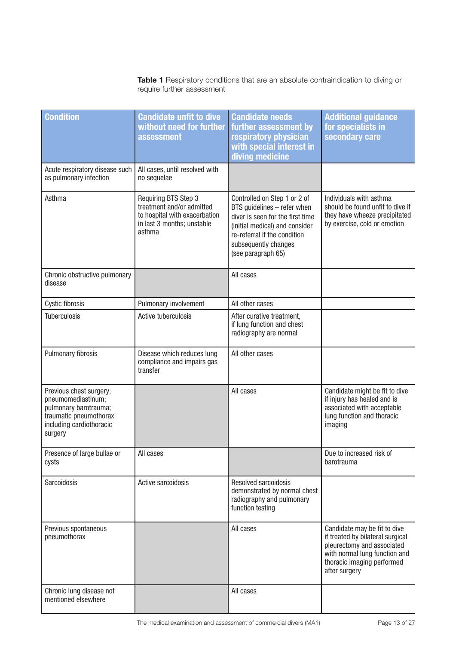**Table 1** Respiratory conditions that are an absolute contraindication to diving or require further assessment

| <b>Condition</b>                                                                                                                        | <b>Candidate unfit to dive</b><br>without need for further<br>assessment                                                   | <b>Candidate needs</b><br>further assessment by<br>respiratory physician<br>with special interest in<br>diving medicine                                                                                         | <b>Additional guidance</b><br>for specialists in<br>secondary care                                                                                                             |
|-----------------------------------------------------------------------------------------------------------------------------------------|----------------------------------------------------------------------------------------------------------------------------|-----------------------------------------------------------------------------------------------------------------------------------------------------------------------------------------------------------------|--------------------------------------------------------------------------------------------------------------------------------------------------------------------------------|
| Acute respiratory disease such<br>as pulmonary infection                                                                                | All cases, until resolved with<br>no sequelae                                                                              |                                                                                                                                                                                                                 |                                                                                                                                                                                |
| Asthma                                                                                                                                  | Requiring BTS Step 3<br>treatment and/or admitted<br>to hospital with exacerbation<br>in last 3 months; unstable<br>asthma | Controlled on Step 1 or 2 of<br>BTS guidelines - refer when<br>diver is seen for the first time<br>(initial medical) and consider<br>re-referral if the condition<br>subsequently changes<br>(see paragraph 65) | Individuals with asthma<br>should be found unfit to dive if<br>they have wheeze precipitated<br>by exercise, cold or emotion                                                   |
| Chronic obstructive pulmonary<br>disease                                                                                                |                                                                                                                            | All cases                                                                                                                                                                                                       |                                                                                                                                                                                |
| Cystic fibrosis                                                                                                                         | Pulmonary involvement                                                                                                      | All other cases                                                                                                                                                                                                 |                                                                                                                                                                                |
| <b>Tuberculosis</b>                                                                                                                     | Active tuberculosis                                                                                                        | After curative treatment,<br>if lung function and chest<br>radiography are normal                                                                                                                               |                                                                                                                                                                                |
| Pulmonary fibrosis                                                                                                                      | Disease which reduces lung<br>compliance and impairs gas<br>transfer                                                       | All other cases                                                                                                                                                                                                 |                                                                                                                                                                                |
| Previous chest surgery;<br>pneumomediastinum;<br>pulmonary barotrauma;<br>traumatic pneumothorax<br>including cardiothoracic<br>surgery |                                                                                                                            | All cases                                                                                                                                                                                                       | Candidate might be fit to dive<br>if injury has healed and is<br>associated with acceptable<br>lung function and thoracic<br>imaging                                           |
| Presence of large bullae or<br>cysts                                                                                                    | All cases                                                                                                                  |                                                                                                                                                                                                                 | Due to increased risk of<br>barotrauma                                                                                                                                         |
| Sarcoidosis                                                                                                                             | Active sarcoidosis                                                                                                         | Resolved sarcoidosis<br>demonstrated by normal chest<br>radiography and pulmonary<br>function testing                                                                                                           |                                                                                                                                                                                |
| Previous spontaneous<br>pneumothorax                                                                                                    |                                                                                                                            | All cases                                                                                                                                                                                                       | Candidate may be fit to dive<br>if treated by bilateral surgical<br>pleurectomy and associated<br>with normal lung function and<br>thoracic imaging performed<br>after surgery |
| Chronic lung disease not<br>mentioned elsewhere                                                                                         |                                                                                                                            | All cases                                                                                                                                                                                                       |                                                                                                                                                                                |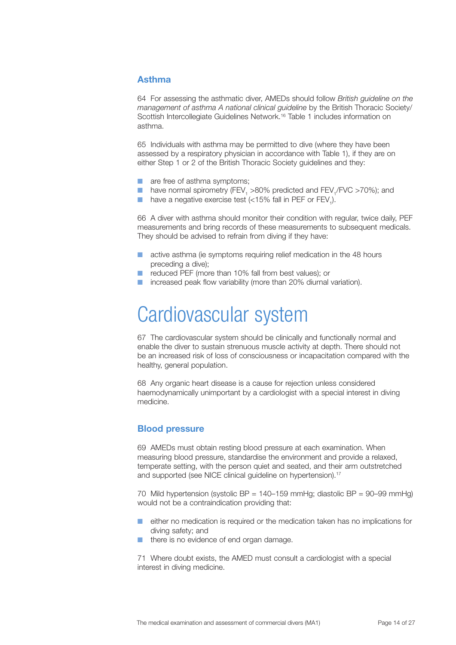#### <span id="page-13-0"></span>**Asthma**

64 For assessing the asthmatic diver, AMEDs should follow *British guideline on the management of asthma A national clinical guideline* by the British Thoracic Society/ Scottish Intercollegiate Guidelines Network.<sup>16</sup> Table 1 includes information on asthma.

65 Individuals with asthma may be permitted to dive (where they have been assessed by a respiratory physician in accordance with Table 1), if they are on either Step 1 or 2 of the British Thoracic Society guidelines and they:

- are free of asthma symptoms:
- have normal spirometry (FEV<sub>1</sub> >80% predicted and FEV<sub>1</sub>/FVC >70%); and
- **■** have a negative exercise test (<15% fall in PEF or  $FEV<sub>1</sub>$ ).

66 A diver with asthma should monitor their condition with regular, twice daily, PEF measurements and bring records of these measurements to subsequent medicals. They should be advised to refrain from diving if they have:

- active asthma (ie symptoms requiring relief medication in the 48 hours preceding a dive);
- reduced PEF (more than 10% fall from best values); or
- increased peak flow variability (more than 20% diurnal variation).

### Cardiovascular system

67 The cardiovascular system should be clinically and functionally normal and enable the diver to sustain strenuous muscle activity at depth. There should not be an increased risk of loss of consciousness or incapacitation compared with the healthy, general population.

68 Any organic heart disease is a cause for rejection unless considered haemodynamically unimportant by a cardiologist with a special interest in diving medicine.

#### **Blood pressure**

69 AMEDs must obtain resting blood pressure at each examination. When measuring blood pressure, standardise the environment and provide a relaxed, temperate setting, with the person quiet and seated, and their arm outstretched and supported (see NICE clinical quideline on hypertension).<sup>17</sup>

70 Mild hypertension (systolic BP = 140–159 mmHg; diastolic BP = 90–99 mmHg) would not be a contraindication providing that:

- either no medication is required or the medication taken has no implications for diving safety; and
- there is no evidence of end organ damage.

71 Where doubt exists, the AMED must consult a cardiologist with a special interest in diving medicine.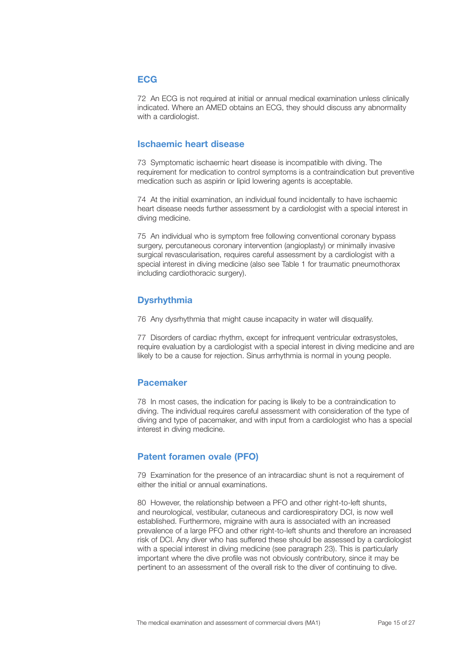#### <span id="page-14-0"></span>**ECG**

72 An ECG is not required at initial or annual medical examination unless clinically indicated. Where an AMED obtains an ECG, they should discuss any abnormality with a cardiologist.

#### **Ischaemic heart disease**

73 Symptomatic ischaemic heart disease is incompatible with diving. The requirement for medication to control symptoms is a contraindication but preventive medication such as aspirin or lipid lowering agents is acceptable.

74 At the initial examination, an individual found incidentally to have ischaemic heart disease needs further assessment by a cardiologist with a special interest in diving medicine.

75 An individual who is symptom free following conventional coronary bypass surgery, percutaneous coronary intervention (angioplasty) or minimally invasive surgical revascularisation, requires careful assessment by a cardiologist with a special interest in diving medicine (also see Table 1 for traumatic pneumothorax including cardiothoracic surgery).

#### **Dysrhythmia**

76 Any dysrhythmia that might cause incapacity in water will disqualify.

77 Disorders of cardiac rhythm, except for infrequent ventricular extrasystoles, require evaluation by a cardiologist with a special interest in diving medicine and are likely to be a cause for rejection. Sinus arrhythmia is normal in young people.

#### **Pacemaker**

78 In most cases, the indication for pacing is likely to be a contraindication to diving. The individual requires careful assessment with consideration of the type of diving and type of pacemaker, and with input from a cardiologist who has a special interest in diving medicine.

#### **Patent foramen ovale (PFO)**

79 Examination for the presence of an intracardiac shunt is not a requirement of either the initial or annual examinations.

80 However, the relationship between a PFO and other right-to-left shunts, and neurological, vestibular, cutaneous and cardiorespiratory DCI, is now well established. Furthermore, migraine with aura is associated with an increased prevalence of a large PFO and other right-to-left shunts and therefore an increased risk of DCI. Any diver who has suffered these should be assessed by a cardiologist with a special interest in diving medicine (see paragraph 23). This is particularly important where the dive profile was not obviously contributory, since it may be pertinent to an assessment of the overall risk to the diver of continuing to dive.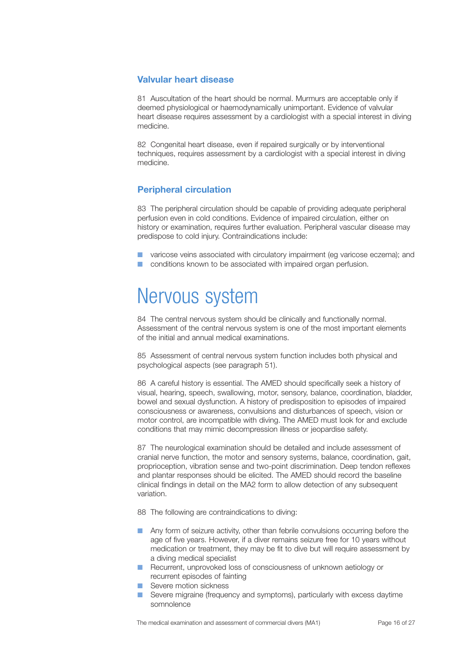#### <span id="page-15-0"></span>**Valvular heart disease**

81 Auscultation of the heart should be normal. Murmurs are acceptable only if deemed physiological or haemodynamically unimportant. Evidence of valvular heart disease requires assessment by a cardiologist with a special interest in diving medicine.

82 Congenital heart disease, even if repaired surgically or by interventional techniques, requires assessment by a cardiologist with a special interest in diving medicine.

#### **Peripheral circulation**

83 The peripheral circulation should be capable of providing adequate peripheral perfusion even in cold conditions. Evidence of impaired circulation, either on history or examination, requires further evaluation. Peripheral vascular disease may predispose to cold injury. Contraindications include:

varicose veins associated with circulatory impairment (eg varicose eczema); and ■ conditions known to be associated with impaired organ perfusion.

### Nervous system

84 The central nervous system should be clinically and functionally normal. Assessment of the central nervous system is one of the most important elements of the initial and annual medical examinations.

85 Assessment of central nervous system function includes both physical and psychological aspects (see paragraph 51).

86 A careful history is essential. The AMED should specifically seek a history of visual, hearing, speech, swallowing, motor, sensory, balance, coordination, bladder, bowel and sexual dysfunction. A history of predisposition to episodes of impaired consciousness or awareness, convulsions and disturbances of speech, vision or motor control, are incompatible with diving. The AMED must look for and exclude conditions that may mimic decompression illness or jeopardise safety.

87 The neurological examination should be detailed and include assessment of cranial nerve function, the motor and sensory systems, balance, coordination, gait, proprioception, vibration sense and two-point discrimination. Deep tendon reflexes and plantar responses should be elicited. The AMED should record the baseline clinical findings in detail on the MA2 form to allow detection of any subsequent variation.

88 The following are contraindications to diving:

- Any form of seizure activity, other than febrile convulsions occurring before the age of five years. However, if a diver remains seizure free for 10 years without medication or treatment, they may be fit to dive but will require assessment by a diving medical specialist
- Recurrent, unprovoked loss of consciousness of unknown aetiology or recurrent episodes of fainting
- Severe motion sickness
- Severe migraine (frequency and symptoms), particularly with excess daytime somnolence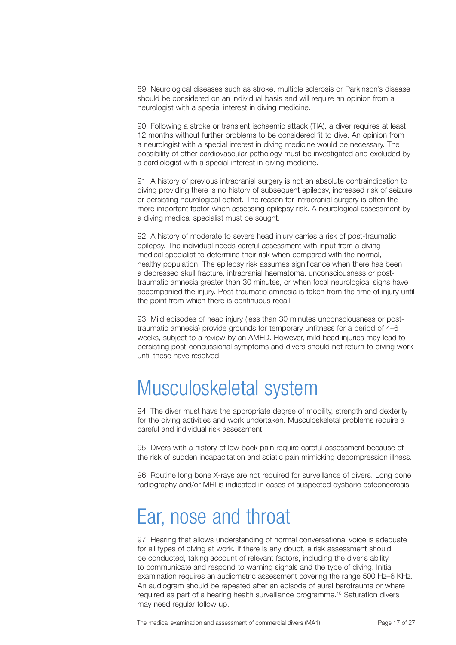<span id="page-16-0"></span>89 Neurological diseases such as stroke, multiple sclerosis or Parkinson's disease should be considered on an individual basis and will require an opinion from a neurologist with a special interest in diving medicine.

90 Following a stroke or transient ischaemic attack (TIA), a diver requires at least 12 months without further problems to be considered fit to dive. An opinion from a neurologist with a special interest in diving medicine would be necessary. The possibility of other cardiovascular pathology must be investigated and excluded by a cardiologist with a special interest in diving medicine.

91 A history of previous intracranial surgery is not an absolute contraindication to diving providing there is no history of subsequent epilepsy, increased risk of seizure or persisting neurological deficit. The reason for intracranial surgery is often the more important factor when assessing epilepsy risk. A neurological assessment by a diving medical specialist must be sought.

92 A history of moderate to severe head injury carries a risk of post-traumatic epilepsy. The individual needs careful assessment with input from a diving medical specialist to determine their risk when compared with the normal, healthy population. The epilepsy risk assumes significance when there has been a depressed skull fracture, intracranial haematoma, unconsciousness or posttraumatic amnesia greater than 30 minutes, or when focal neurological signs have accompanied the injury. Post-traumatic amnesia is taken from the time of injury until the point from which there is continuous recall.

93 Mild episodes of head injury (less than 30 minutes unconsciousness or posttraumatic amnesia) provide grounds for temporary unfitness for a period of 4–6 weeks, subject to a review by an AMED. However, mild head injuries may lead to persisting post-concussional symptoms and divers should not return to diving work until these have resolved.

### Musculoskeletal system

94 The diver must have the appropriate degree of mobility, strength and dexterity for the diving activities and work undertaken. Musculoskeletal problems require a careful and individual risk assessment.

95 Divers with a history of low back pain require careful assessment because of the risk of sudden incapacitation and sciatic pain mimicking decompression illness.

96 Routine long bone X-rays are not required for surveillance of divers. Long bone radiography and/or MRI is indicated in cases of suspected dysbaric osteonecrosis.

### Ear, nose and throat

97 Hearing that allows understanding of normal conversational voice is adequate for all types of diving at work. If there is any doubt, a risk assessment should be conducted, taking account of relevant factors, including the diver's ability to communicate and respond to warning signals and the type of diving. Initial examination requires an audiometric assessment covering the range 500 Hz–6 KHz. An audiogram should be repeated after an episode of aural barotrauma or where required as part of a hearing health surveillance programme.18 Saturation divers may need regular follow up.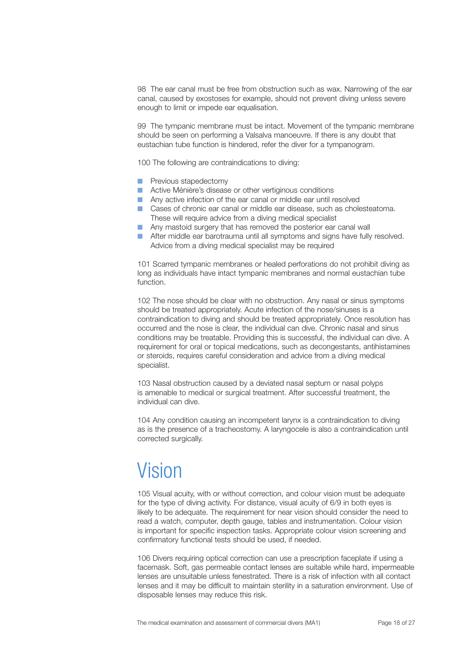<span id="page-17-0"></span>98 The ear canal must be free from obstruction such as wax. Narrowing of the ear canal, caused by exostoses for example, should not prevent diving unless severe enough to limit or impede ear equalisation.

99 The tympanic membrane must be intact. Movement of the tympanic membrane should be seen on performing a Valsalva manoeuvre. If there is any doubt that eustachian tube function is hindered, refer the diver for a tympanogram.

100 The following are contraindications to diving:

- Previous stapedectomy
- Active Ménière's disease or other vertiginous conditions
- Any active infection of the ear canal or middle ear until resolved
- Cases of chronic ear canal or middle ear disease, such as cholesteatoma. These will require advice from a diving medical specialist
- Any mastoid surgery that has removed the posterior ear canal wall
- After middle ear barotrauma until all symptoms and signs have fully resolved. Advice from a diving medical specialist may be required

101 Scarred tympanic membranes or healed perforations do not prohibit diving as long as individuals have intact tympanic membranes and normal eustachian tube function.

102 The nose should be clear with no obstruction. Any nasal or sinus symptoms should be treated appropriately. Acute infection of the nose/sinuses is a contraindication to diving and should be treated appropriately. Once resolution has occurred and the nose is clear, the individual can dive. Chronic nasal and sinus conditions may be treatable. Providing this is successful, the individual can dive. A requirement for oral or topical medications, such as decongestants, antihistamines or steroids, requires careful consideration and advice from a diving medical specialist.

103 Nasal obstruction caused by a deviated nasal septum or nasal polyps is amenable to medical or surgical treatment. After successful treatment, the individual can dive.

104 Any condition causing an incompetent larynx is a contraindication to diving as is the presence of a tracheostomy. A laryngocele is also a contraindication until corrected surgically.

### Vision

105 Visual acuity, with or without correction, and colour vision must be adequate for the type of diving activity. For distance, visual acuity of 6/9 in both eyes is likely to be adequate. The requirement for near vision should consider the need to read a watch, computer, depth gauge, tables and instrumentation. Colour vision is important for specific inspection tasks. Appropriate colour vision screening and confirmatory functional tests should be used, if needed.

106 Divers requiring optical correction can use a prescription faceplate if using a facemask. Soft, gas permeable contact lenses are suitable while hard, impermeable lenses are unsuitable unless fenestrated. There is a risk of infection with all contact lenses and it may be difficult to maintain sterility in a saturation environment. Use of disposable lenses may reduce this risk.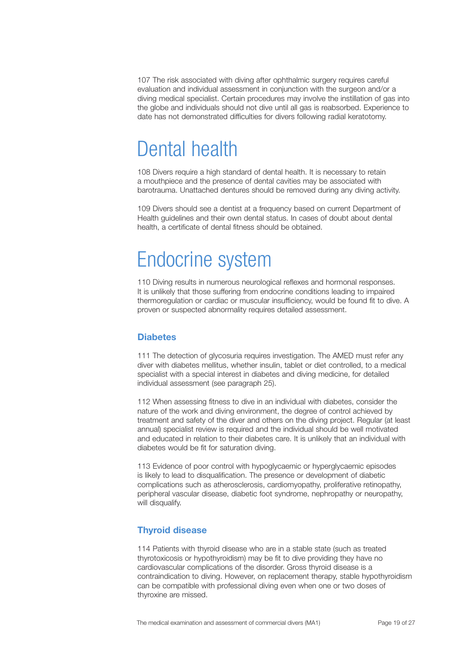<span id="page-18-0"></span>107 The risk associated with diving after ophthalmic surgery requires careful evaluation and individual assessment in conjunction with the surgeon and/or a diving medical specialist. Certain procedures may involve the instillation of gas into the globe and individuals should not dive until all gas is reabsorbed. Experience to date has not demonstrated difficulties for divers following radial keratotomy.

### Dental health

108 Divers require a high standard of dental health. It is necessary to retain a mouthpiece and the presence of dental cavities may be associated with barotrauma. Unattached dentures should be removed during any diving activity.

109 Divers should see a dentist at a frequency based on current Department of Health guidelines and their own dental status. In cases of doubt about dental health, a certificate of dental fitness should be obtained.

### Endocrine system

110 Diving results in numerous neurological reflexes and hormonal responses. It is unlikely that those suffering from endocrine conditions leading to impaired thermoregulation or cardiac or muscular insufficiency, would be found fit to dive. A proven or suspected abnormality requires detailed assessment.

#### **Diabetes**

111 The detection of glycosuria requires investigation. The AMED must refer any diver with diabetes mellitus, whether insulin, tablet or diet controlled, to a medical specialist with a special interest in diabetes and diving medicine, for detailed individual assessment (see paragraph 25).

112 When assessing fitness to dive in an individual with diabetes, consider the nature of the work and diving environment, the degree of control achieved by treatment and safety of the diver and others on the diving project. Regular (at least annual) specialist review is required and the individual should be well motivated and educated in relation to their diabetes care. It is unlikely that an individual with diabetes would be fit for saturation diving.

113 Evidence of poor control with hypoglycaemic or hyperglycaemic episodes is likely to lead to disqualification. The presence or development of diabetic complications such as atherosclerosis, cardiomyopathy, proliferative retinopathy, peripheral vascular disease, diabetic foot syndrome, nephropathy or neuropathy, will disqualify.

#### **Thyroid disease**

114 Patients with thyroid disease who are in a stable state (such as treated thyrotoxicosis or hypothyroidism) may be fit to dive providing they have no cardiovascular complications of the disorder. Gross thyroid disease is a contraindication to diving. However, on replacement therapy, stable hypothyroidism can be compatible with professional diving even when one or two doses of thyroxine are missed.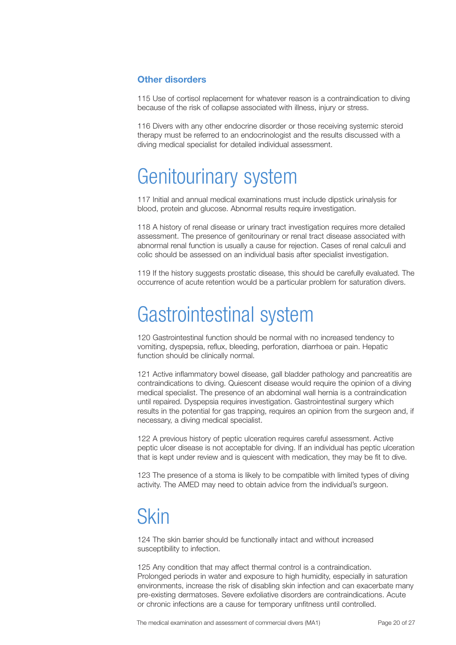#### <span id="page-19-0"></span>**Other disorders**

115 Use of cortisol replacement for whatever reason is a contraindication to diving because of the risk of collapse associated with illness, injury or stress.

116 Divers with any other endocrine disorder or those receiving systemic steroid therapy must be referred to an endocrinologist and the results discussed with a diving medical specialist for detailed individual assessment.

### Genitourinary system

117 Initial and annual medical examinations must include dipstick urinalysis for blood, protein and glucose. Abnormal results require investigation.

118 A history of renal disease or urinary tract investigation requires more detailed assessment. The presence of genitourinary or renal tract disease associated with abnormal renal function is usually a cause for rejection. Cases of renal calculi and colic should be assessed on an individual basis after specialist investigation.

119 If the history suggests prostatic disease, this should be carefully evaluated. The occurrence of acute retention would be a particular problem for saturation divers.

### Gastrointestinal system

120 Gastrointestinal function should be normal with no increased tendency to vomiting, dyspepsia, reflux, bleeding, perforation, diarrhoea or pain. Hepatic function should be clinically normal.

121 Active inflammatory bowel disease, gall bladder pathology and pancreatitis are contraindications to diving. Quiescent disease would require the opinion of a diving medical specialist. The presence of an abdominal wall hernia is a contraindication until repaired. Dyspepsia requires investigation. Gastrointestinal surgery which results in the potential for gas trapping, requires an opinion from the surgeon and, if necessary, a diving medical specialist.

122 A previous history of peptic ulceration requires careful assessment. Active peptic ulcer disease is not acceptable for diving. If an individual has peptic ulceration that is kept under review and is quiescent with medication, they may be fit to dive.

123 The presence of a stoma is likely to be compatible with limited types of diving activity. The AMED may need to obtain advice from the individual's surgeon.

### **Skin**

124 The skin barrier should be functionally intact and without increased susceptibility to infection.

125 Any condition that may affect thermal control is a contraindication. Prolonged periods in water and exposure to high humidity, especially in saturation environments, increase the risk of disabling skin infection and can exacerbate many pre-existing dermatoses. Severe exfoliative disorders are contraindications. Acute or chronic infections are a cause for temporary unfitness until controlled.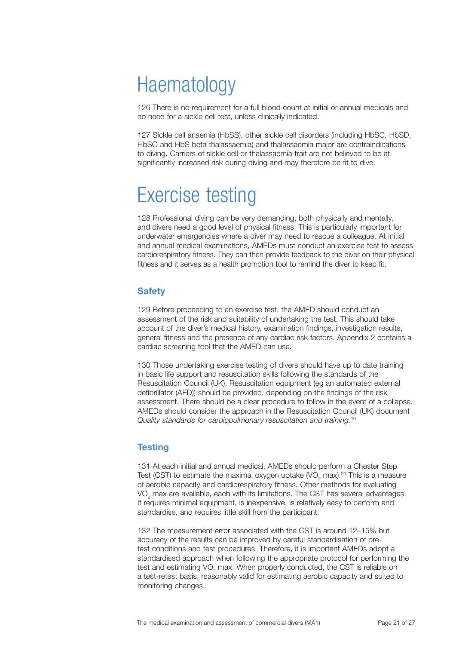### <span id="page-20-0"></span>**Haematology**

126 There is no requirement for a full blood count at initial or annual medicals and no need for a sickle cell test, unless clinically indicated.

127 Sickle cell anaemia (HbSS), other sickle cell disorders (including HbSC, HbSD, HbSO and HbS beta thalassaemia) and thalassaemia major are contraindications to diving. Carriers of sickle cell or thalassaemia trait are not believed to be at significantly increased risk during diving and may therefore be fit to dive.

# Exercise testing

128 Professional diving can be very demanding, both physically and mentally, and divers need a good level of physical fitness. This is particularly important for underwater emergencies where a diver may need to rescue a colleague. At initial and annual medical examinations, AMEDs must conduct an exercise test to assess cardiorespiratory fitness. They can then provide feedback to the diver on their physical fitness and it serves as a health promotion tool to remind the diver to keep fit.

#### **Safety**

129 Before proceeding to an exercise test, the AMED should conduct an assessment of the risk and suitability of undertaking the test. This should take account of the diver's medical history, examination findings, investigation results, general fitness and the presence of any cardiac risk factors. Appendix 2 contains a cardiac screening tool that the AMED can use.

130 Those undertaking exercise testing of divers should have up to date training in basic life support and resuscitation skills following the standards of the Resuscitation Council (UK). Resuscitation equipment (eg an automated external defibrillator (AED)) should be provided, depending on the findings of the risk assessment. There should be a clear procedure to follow in the event of a collapse. AMEDs should consider the approach in the Resuscitation Council (UK) document *Quality standards for cardiopulmonary resuscitation and training.*<sup>19</sup>

#### **Testing**

131 At each initial and annual medical, AMEDs should perform a Chester Step Test (CST) to estimate the maximal oxygen uptake (VO<sub>2</sub> max).<sup>20</sup> This is a measure of aerobic capacity and cardiorespiratory fitness. Other methods for evaluating VO<sub>2</sub> max are available, each with its limitations. The CST has several advantages. It requires minimal equipment, is inexpensive, is relatively easy to perform and standardise, and requires little skill from the participant.

132 The measurement error associated with the CST is around 12–15% but accuracy of the results can be improved by careful standardisation of pretest conditions and test procedures. Therefore, it is important AMEDs adopt a standardised approach when following the appropriate protocol for performing the test and estimating VO<sub>2</sub> max. When properly conducted, the CST is reliable on a test-retest basis, reasonably valid for estimating aerobic capacity and suited to monitoring changes.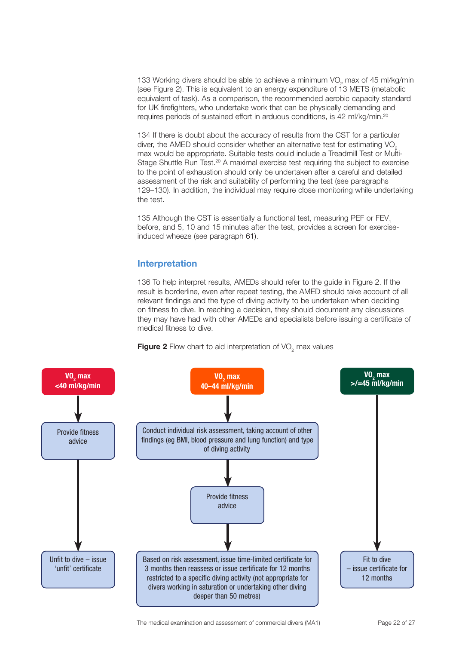<span id="page-21-0"></span>133 Working divers should be able to achieve a minimum VO<sub>2</sub> max of 45 ml/kg/min (see Figure 2). This is equivalent to an energy expenditure of  $13$  METS (metabolic equivalent of task). As a comparison, the recommended aerobic capacity standard for UK firefighters, who undertake work that can be physically demanding and requires periods of sustained effort in arduous conditions, is 42 ml/kg/min.20

134 If there is doubt about the accuracy of results from the CST for a particular diver, the AMED should consider whether an alternative test for estimating VO<sub>2</sub> max would be appropriate. Suitable tests could include a Treadmill Test or Multi-Stage Shuttle Run Test.<sup>20</sup> A maximal exercise test requiring the subject to exercise to the point of exhaustion should only be undertaken after a careful and detailed assessment of the risk and suitability of performing the test (see paragraphs 129–130). In addition, the individual may require close monitoring while undertaking the test.

135 Although the CST is essentially a functional test, measuring PEF or FEV, before, and 5, 10 and 15 minutes after the test, provides a screen for exerciseinduced wheeze (see paragraph 61).

#### **Interpretation**

136 To help interpret results, AMEDs should refer to the guide in Figure 2. If the result is borderline, even after repeat testing, the AMED should take account of all relevant findings and the type of diving activity to be undertaken when deciding on fitness to dive. In reaching a decision, they should document any discussions they may have had with other AMEDs and specialists before issuing a certificate of medical fitness to dive.



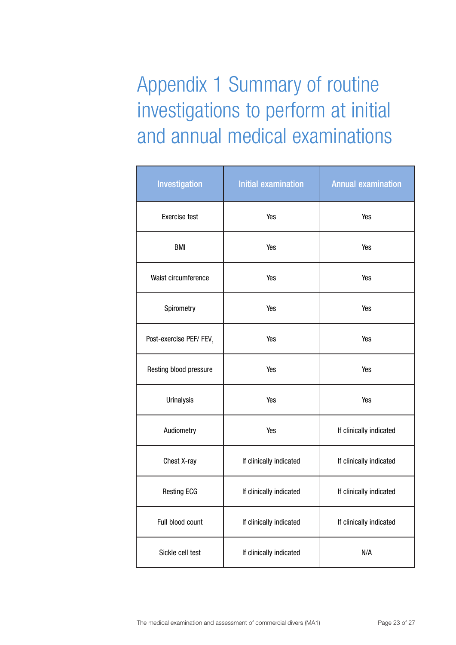<span id="page-22-0"></span>Appendix 1 Summary of routine investigations to perform at initial and annual medical examinations

| Investigation          | <b>Initial examination</b>     | <b>Annual examination</b> |  |
|------------------------|--------------------------------|---------------------------|--|
| <b>Exercise test</b>   | Yes                            | Yes                       |  |
| <b>BMI</b>             | Yes                            | Yes                       |  |
| Waist circumference    | Yes<br>Yes                     |                           |  |
| Spirometry             | Yes                            | Yes                       |  |
| Post-exercise PEF/FEV, | Yes                            | Yes                       |  |
| Resting blood pressure | Yes<br>Yes                     |                           |  |
| Urinalysis             | Yes<br>Yes                     |                           |  |
| Audiometry             | Yes<br>If clinically indicated |                           |  |
| Chest X-ray            | If clinically indicated        | If clinically indicated   |  |
| <b>Resting ECG</b>     | If clinically indicated        | If clinically indicated   |  |
| Full blood count       | If clinically indicated        | If clinically indicated   |  |
| Sickle cell test       | If clinically indicated<br>N/A |                           |  |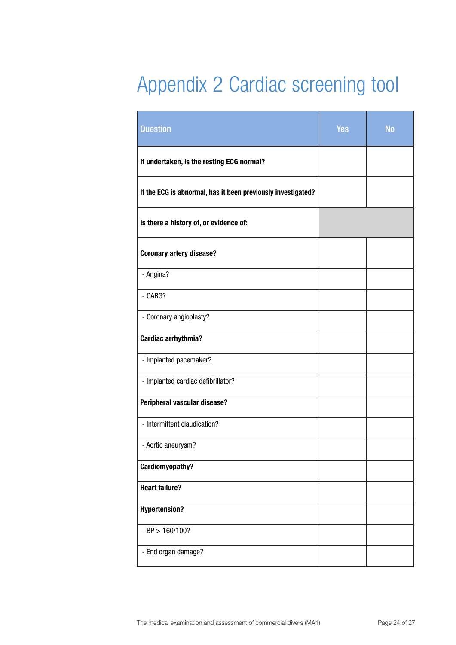# <span id="page-23-0"></span>Appendix 2 Cardiac screening tool

| <b>Question</b>                                              | <b>Yes</b> | <b>No</b> |
|--------------------------------------------------------------|------------|-----------|
| If undertaken, is the resting ECG normal?                    |            |           |
| If the ECG is abnormal, has it been previously investigated? |            |           |
| Is there a history of, or evidence of:                       |            |           |
| <b>Coronary artery disease?</b>                              |            |           |
| - Angina?                                                    |            |           |
| - CABG?                                                      |            |           |
| - Coronary angioplasty?                                      |            |           |
| <b>Cardiac arrhythmia?</b>                                   |            |           |
| - Implanted pacemaker?                                       |            |           |
| - Implanted cardiac defibrillator?                           |            |           |
| Peripheral vascular disease?                                 |            |           |
| - Intermittent claudication?                                 |            |           |
| - Aortic aneurysm?                                           |            |           |
| <b>Cardiomyopathy?</b>                                       |            |           |
| <b>Heart failure?</b>                                        |            |           |
| <b>Hypertension?</b>                                         |            |           |
| $-BP > 160/100?$                                             |            |           |
| - End organ damage?                                          |            |           |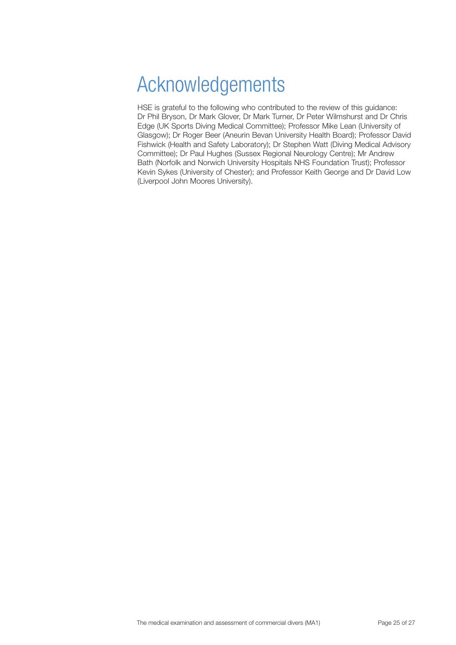# <span id="page-24-0"></span>Acknowledgements

HSE is grateful to the following who contributed to the review of this guidance: Dr Phil Bryson, Dr Mark Glover, Dr Mark Turner, Dr Peter Wilmshurst and Dr Chris Edge (UK Sports Diving Medical Committee); Professor Mike Lean (University of Glasgow); Dr Roger Beer (Aneurin Bevan University Health Board); Professor David Fishwick (Health and Safety Laboratory); Dr Stephen Watt (Diving Medical Advisory Committee); Dr Paul Hughes (Sussex Regional Neurology Centre); Mr Andrew Bath (Norfolk and Norwich University Hospitals NHS Foundation Trust); Professor Kevin Sykes (University of Chester); and Professor Keith George and Dr David Low (Liverpool John Moores University).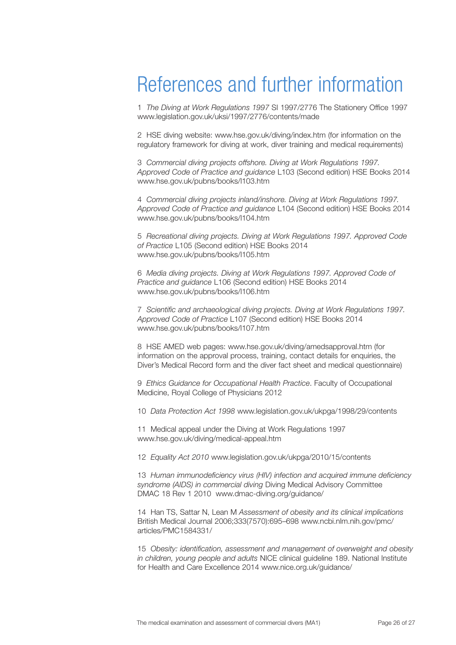### <span id="page-25-0"></span>References and further information

1 *The Diving at Work Regulations 1997* SI 1997/2776 The Stationery Office 1997 www.legislation.gov.uk/uksi/1997/2776/contents/made

2 HSE diving website: [www.hse.gov.uk/diving/index.htm](http://www.hse.gov.uk/diving/index.htm) (for information on the regulatory framework for diving at work, diver training and medical requirements)

3 *Commercial diving projects offshore. Diving at Work Regulations 1997. Approved Code of Practice and guidance* L103 (Second edition) HSE Books 2014 www.hse.gov.uk/pubns/books/l103.htm

4 *Commercial diving projects inland/inshore. Diving at Work Regulations 1997. Approved Code of Practice and guidance* L104 (Second edition) HSE Books 2014 www.hse.gov.uk/pubns/books/l104.htm

5 *Recreational diving projects. Diving at Work Regulations 1997. Approved Code of Practice* L105 (Second edition) HSE Books 2014 www.hse.gov.uk/pubns/books/l105.htm

6 *Media diving projects. Diving at Work Regulations 1997. Approved Code of Practice and guidance* L106 (Second edition) HSE Books 2014 www.hse.gov.uk/pubns/books/l106.htm

7 *Scientific and archaeological diving projects. Diving at Work Regulations 1997. Approved Code of Practice* L107 (Second edition) HSE Books 2014 www.hse.gov.uk/pubns/books/l107.htm

8 HSE AMED web pages: [www.hse.gov.uk/diving/amedsapproval.htm](http://www.hse.gov.uk/diving/amedsapproval.htm) (for information on the approval process, training, contact details for enquiries, the Diver's Medical Record form and the diver fact sheet and medical questionnaire)

9 *Ethics Guidance for Occupational Health Practice*. Faculty of Occupational Medicine, Royal College of Physicians 2012

10 *Data Protection Act 1998* www.legislation.gov.uk/ukpga/1998/29/contents

11 Medical appeal under the Diving at Work Regulations 1997 www.hse.gov.uk/diving/medical-appeal.htm

12 *Equality Act 2010* www.legislation.gov.uk/ukpga/2010/15/contents

13 *Human immunodeficiency virus (HIV) infection and acquired immune deficiency syndrome (AIDS) in commercial diving* Diving Medical Advisory Committee DMAC 18 Rev 1 2010 www.dmac-diving.org/guidance/

14 Han TS, Sattar N, Lean M *Assessment of obesity and its clinical implications* British Medical Journal 2006;333(7570):695–698 www.ncbi.nlm.nih.gov/pmc/ articles/PMC1584331/

15 *Obesity: identification, assessment and management of overweight and obesity in children, young people and adults* NICE clinical guideline 189. National Institute for Health and Care Excellence 2014 www.nice.org.uk/guidance/